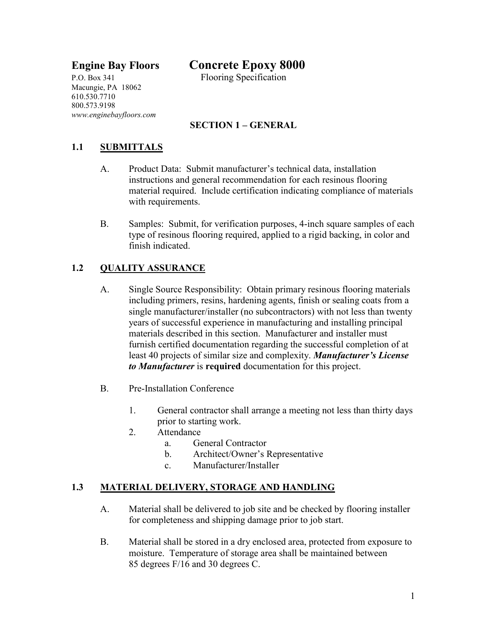# **Engine Bay Floors Concrete Epoxy 8000**

P.O. Box 341 Flooring Specification Macungie, PA 18062 610.530.7710 800.573.9198 *www.enginebayfloors.com*

# **SECTION 1 – GENERAL**

# **1.1 SUBMITTALS**

- A. Product Data: Submit manufacturer's technical data, installation instructions and general recommendation for each resinous flooring material required. Include certification indicating compliance of materials with requirements.
- B. Samples: Submit, for verification purposes, 4-inch square samples of each type of resinous flooring required, applied to a rigid backing, in color and finish indicated.

#### **1.2 QUALITY ASSURANCE**

- A. Single Source Responsibility: Obtain primary resinous flooring materials including primers, resins, hardening agents, finish or sealing coats from a single manufacturer/installer (no subcontractors) with not less than twenty years of successful experience in manufacturing and installing principal materials described in this section. Manufacturer and installer must furnish certified documentation regarding the successful completion of at least 40 projects of similar size and complexity. *Manufacturer's License to Manufacturer* is **required** documentation for this project.
- B. Pre-Installation Conference
	- 1. General contractor shall arrange a meeting not less than thirty days prior to starting work.
	- 2. Attendance
		- a. General Contractor
		- b. Architect/Owner's Representative
		- c. Manufacturer/Installer

## **1.3 MATERIAL DELIVERY, STORAGE AND HANDLING**

- A. Material shall be delivered to job site and be checked by flooring installer for completeness and shipping damage prior to job start.
- B. Material shall be stored in a dry enclosed area, protected from exposure to moisture. Temperature of storage area shall be maintained between 85 degrees F/16 and 30 degrees C.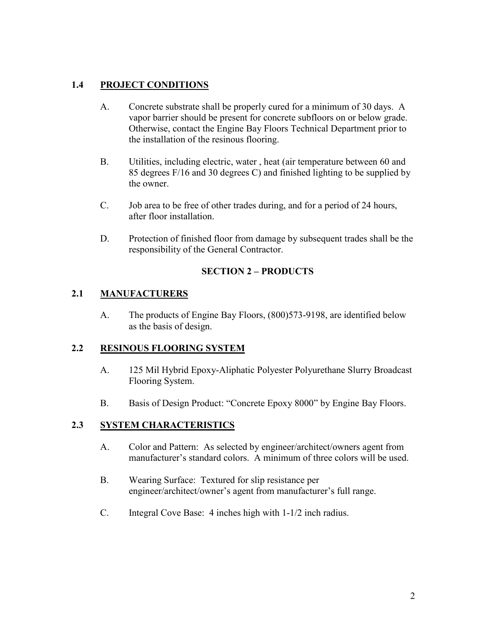# **1.4 PROJECT CONDITIONS**

- A. Concrete substrate shall be properly cured for a minimum of 30 days. A vapor barrier should be present for concrete subfloors on or below grade. Otherwise, contact the Engine Bay Floors Technical Department prior to the installation of the resinous flooring.
- B. Utilities, including electric, water , heat (air temperature between 60 and 85 degrees F/16 and 30 degrees C) and finished lighting to be supplied by the owner.
- C. Job area to be free of other trades during, and for a period of 24 hours, after floor installation.
- D. Protection of finished floor from damage by subsequent trades shall be the responsibility of the General Contractor.

## **SECTION 2 – PRODUCTS**

# **2.1 MANUFACTURERS**

A. The products of Engine Bay Floors, (800)573-9198, are identified below as the basis of design.

## **2.2 RESINOUS FLOORING SYSTEM**

- A. 125 Mil Hybrid Epoxy-Aliphatic Polyester Polyurethane Slurry Broadcast Flooring System.
- B. Basis of Design Product: "Concrete Epoxy 8000" by Engine Bay Floors.

# **2.3 SYSTEM CHARACTERISTICS**

- A. Color and Pattern: As selected by engineer/architect/owners agent from manufacturer's standard colors. A minimum of three colors will be used.
- B. Wearing Surface: Textured for slip resistance per engineer/architect/owner's agent from manufacturer's full range.
- C. Integral Cove Base: 4 inches high with 1-1/2 inch radius.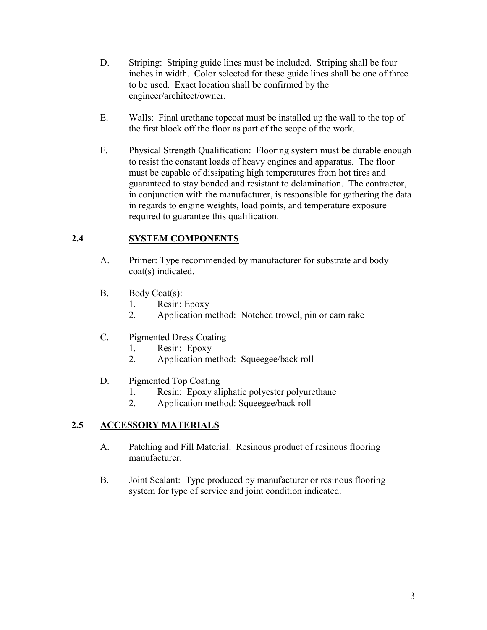- D. Striping: Striping guide lines must be included. Striping shall be four inches in width. Color selected for these guide lines shall be one of three to be used. Exact location shall be confirmed by the engineer/architect/owner.
- E. Walls: Final urethane topcoat must be installed up the wall to the top of the first block off the floor as part of the scope of the work.
- F. Physical Strength Qualification: Flooring system must be durable enough to resist the constant loads of heavy engines and apparatus. The floor must be capable of dissipating high temperatures from hot tires and guaranteed to stay bonded and resistant to delamination. The contractor, in conjunction with the manufacturer, is responsible for gathering the data in regards to engine weights, load points, and temperature exposure required to guarantee this qualification.

# **2.4 SYSTEM COMPONENTS**

- A. Primer: Type recommended by manufacturer for substrate and body coat(s) indicated.
- B. Body Coat(s):
	- 1. Resin: Epoxy
	- 2. Application method: Notched trowel, pin or cam rake
- C. Pigmented Dress Coating
	- 1. Resin: Epoxy
	- 2. Application method: Squeegee/back roll
- D. Pigmented Top Coating
	- 1. Resin: Epoxy aliphatic polyester polyurethane
	- 2. Application method: Squeegee/back roll

# **2.5 ACCESSORY MATERIALS**

- A. Patching and Fill Material: Resinous product of resinous flooring manufacturer.
- B. Joint Sealant: Type produced by manufacturer or resinous flooring system for type of service and joint condition indicated.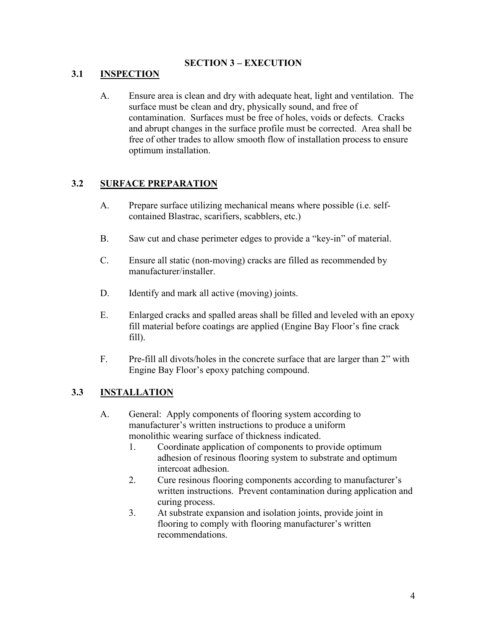# **SECTION 3 – EXECUTION**

# **3.1 INSPECTION**

A. Ensure area is clean and dry with adequate heat, light and ventilation. The surface must be clean and dry, physically sound, and free of contamination. Surfaces must be free of holes, voids or defects. Cracks and abrupt changes in the surface profile must be corrected. Area shall be free of other trades to allow smooth flow of installation process to ensure optimum installation.

# **3.2 SURFACE PREPARATION**

- A. Prepare surface utilizing mechanical means where possible (i.e. selfcontained Blastrac, scarifiers, scabblers, etc.)
- B. Saw cut and chase perimeter edges to provide a "key-in" of material.
- C. Ensure all static (non-moving) cracks are filled as recommended by manufacturer/installer.
- D. Identify and mark all active (moving) joints.
- E. Enlarged cracks and spalled areas shall be filled and leveled with an epoxy fill material before coatings are applied (Engine Bay Floor's fine crack fill).
- F. Pre-fill all divots/holes in the concrete surface that are larger than 2" with Engine Bay Floor's epoxy patching compound.

#### **3.3 INSTALLATION**

- A. General: Apply components of flooring system according to manufacturer's written instructions to produce a uniform monolithic wearing surface of thickness indicated.
	- 1. Coordinate application of components to provide optimum adhesion of resinous flooring system to substrate and optimum intercoat adhesion.
	- 2. Cure resinous flooring components according to manufacturer's written instructions. Prevent contamination during application and curing process.
	- 3. At substrate expansion and isolation joints, provide joint in flooring to comply with flooring manufacturer's written recommendations.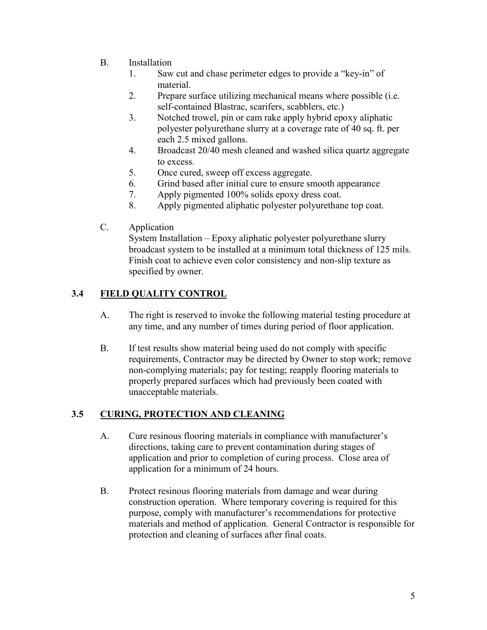- B. Installation
	- 1. Saw cut and chase perimeter edges to provide a "key-in" of material.
	- 2. Prepare surface utilizing mechanical means where possible (i.e. self-contained Blastrac, scarifers, scabblers, etc.)
	- 3. Notched trowel, pin or cam rake apply hybrid epoxy aliphatic polyester polyurethane slurry at a coverage rate of 40 sq. ft. per each 2.5 mixed gallons.
	- 4. Broadcast 20/40 mesh cleaned and washed silica quartz aggregate to excess.
	- 5. Once cured, sweep off excess aggregate.
	- 6. Grind based after initial cure to ensure smooth appearance
	- 7. Apply pigmented 100% solids epoxy dress coat.
	- 8. Apply pigmented aliphatic polyester polyurethane top coat.
- C. Application

System Installation – Epoxy aliphatic polyester polyurethane slurry broadcast system to be installed at a minimum total thickness of 125 mils. Finish coat to achieve even color consistency and non-slip texture as specified by owner.

# **3.4 FIELD QUALITY CONTROL**

- A. The right is reserved to invoke the following material testing procedure at any time, and any number of times during period of floor application.
- B. If test results show material being used do not comply with specific requirements, Contractor may be directed by Owner to stop work; remove non-complying materials; pay for testing; reapply flooring materials to properly prepared surfaces which had previously been coated with unacceptable materials.

## **3.5 CURING, PROTECTION AND CLEANING**

- A. Cure resinous flooring materials in compliance with manufacturer's directions, taking care to prevent contamination during stages of application and prior to completion of curing process. Close area of application for a minimum of 24 hours.
- B. Protect resinous flooring materials from damage and wear during construction operation. Where temporary covering is required for this purpose, comply with manufacturer's recommendations for protective materials and method of application. General Contractor is responsible for protection and cleaning of surfaces after final coats.